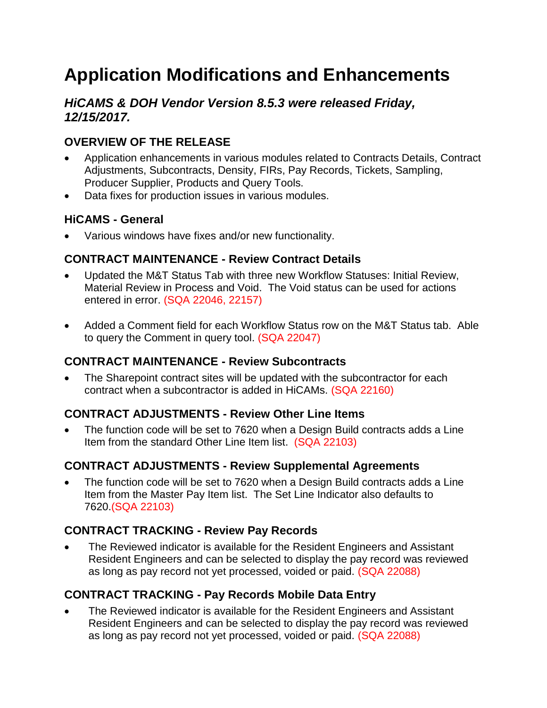# **Application Modifications and Enhancements**

# *HiCAMS & DOH Vendor Version 8.5.3 were released Friday, 12/15/2017.*

# **OVERVIEW OF THE RELEASE**

- Application enhancements in various modules related to Contracts Details, Contract Adjustments, Subcontracts, Density, FIRs, Pay Records, Tickets, Sampling, Producer Supplier, Products and Query Tools.
- Data fixes for production issues in various modules.

# **HiCAMS - General**

Various windows have fixes and/or new functionality.

# **CONTRACT MAINTENANCE - Review Contract Details**

- Updated the M&T Status Tab with three new Workflow Statuses: Initial Review, Material Review in Process and Void. The Void status can be used for actions entered in error. (SQA 22046, 22157)
- Added a Comment field for each Workflow Status row on the M&T Status tab. Able to query the Comment in query tool. (SQA 22047)

# **CONTRACT MAINTENANCE - Review Subcontracts**

 The Sharepoint contract sites will be updated with the subcontractor for each contract when a subcontractor is added in HiCAMs. (SQA 22160)

# **CONTRACT ADJUSTMENTS - Review Other Line Items**

 The function code will be set to 7620 when a Design Build contracts adds a Line Item from the standard Other Line Item list. (SQA 22103)

# **CONTRACT ADJUSTMENTS - Review Supplemental Agreements**

 The function code will be set to 7620 when a Design Build contracts adds a Line Item from the Master Pay Item list. The Set Line Indicator also defaults to 7620.(SQA 22103)

# **CONTRACT TRACKING - Review Pay Records**

 The Reviewed indicator is available for the Resident Engineers and Assistant Resident Engineers and can be selected to display the pay record was reviewed as long as pay record not yet processed, voided or paid. (SQA 22088)

# **CONTRACT TRACKING - Pay Records Mobile Data Entry**

 The Reviewed indicator is available for the Resident Engineers and Assistant Resident Engineers and can be selected to display the pay record was reviewed as long as pay record not yet processed, voided or paid. (SQA 22088)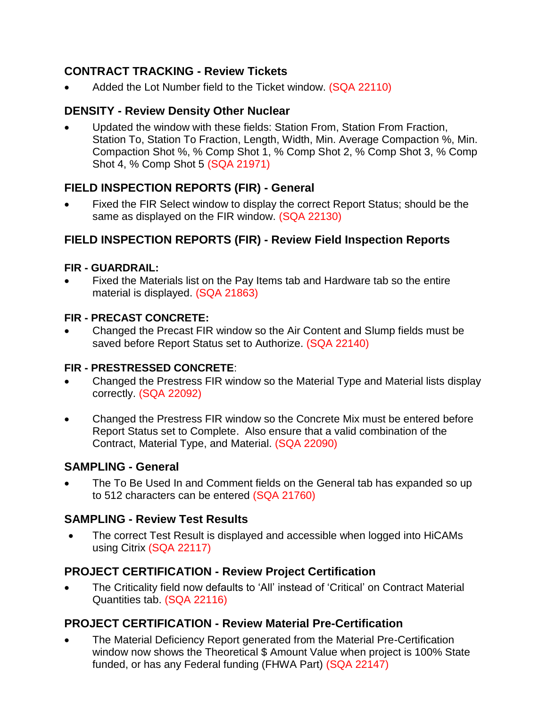# **CONTRACT TRACKING - Review Tickets**

Added the Lot Number field to the Ticket window. (SQA 22110)

# **DENSITY - Review Density Other Nuclear**

 Updated the window with these fields: Station From, Station From Fraction, Station To, Station To Fraction, Length, Width, Min. Average Compaction %, Min. Compaction Shot %, % Comp Shot 1, % Comp Shot 2, % Comp Shot 3, % Comp Shot 4, % Comp Shot 5 (SQA 21971)

# **FIELD INSPECTION REPORTS (FIR) - General**

 Fixed the FIR Select window to display the correct Report Status; should be the same as displayed on the FIR window. (SQA 22130)

# **FIELD INSPECTION REPORTS (FIR) - Review Field Inspection Reports**

#### **FIR - GUARDRAIL:**

 Fixed the Materials list on the Pay Items tab and Hardware tab so the entire material is displayed. (SQA 21863)

### **FIR - PRECAST CONCRETE:**

 Changed the Precast FIR window so the Air Content and Slump fields must be saved before Report Status set to Authorize. (SQA 22140)

### **FIR - PRESTRESSED CONCRETE**:

- Changed the Prestress FIR window so the Material Type and Material lists display correctly. (SQA 22092)
- Changed the Prestress FIR window so the Concrete Mix must be entered before Report Status set to Complete. Also ensure that a valid combination of the Contract, Material Type, and Material. (SQA 22090)

# **SAMPLING - General**

 The To Be Used In and Comment fields on the General tab has expanded so up to 512 characters can be entered (SQA 21760)

# **SAMPLING - Review Test Results**

 The correct Test Result is displayed and accessible when logged into HiCAMs using Citrix (SQA 22117)

# **PROJECT CERTIFICATION - Review Project Certification**

 The Criticality field now defaults to 'All' instead of 'Critical' on Contract Material Quantities tab. (SQA 22116)

# **PROJECT CERTIFICATION - Review Material Pre-Certification**

 The Material Deficiency Report generated from the Material Pre-Certification window now shows the Theoretical \$ Amount Value when project is 100% State funded, or has any Federal funding (FHWA Part) (SQA 22147)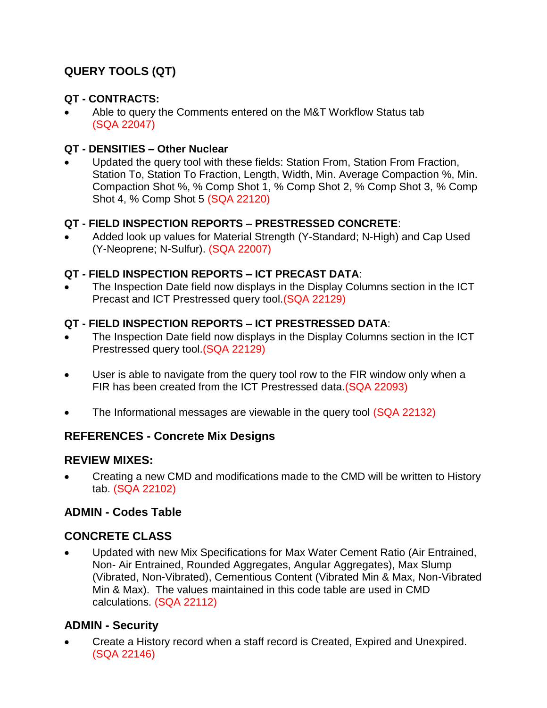# **QUERY TOOLS (QT)**

### **QT - CONTRACTS:**

 Able to query the Comments entered on the M&T Workflow Status tab (SQA 22047)

### **QT - DENSITIES – Other Nuclear**

 Updated the query tool with these fields: Station From, Station From Fraction, Station To, Station To Fraction, Length, Width, Min. Average Compaction %, Min. Compaction Shot %, % Comp Shot 1, % Comp Shot 2, % Comp Shot 3, % Comp Shot 4, % Comp Shot 5 (SQA 22120)

### **QT - FIELD INSPECTION REPORTS – PRESTRESSED CONCRETE**:

 Added look up values for Material Strength (Y-Standard; N-High) and Cap Used (Y-Neoprene; N-Sulfur). (SQA 22007)

#### **QT - FIELD INSPECTION REPORTS – ICT PRECAST DATA**:

 The Inspection Date field now displays in the Display Columns section in the ICT Precast and ICT Prestressed query tool.(SQA 22129)

#### **QT - FIELD INSPECTION REPORTS – ICT PRESTRESSED DATA**:

- The Inspection Date field now displays in the Display Columns section in the ICT Prestressed query tool.(SQA 22129)
- User is able to navigate from the query tool row to the FIR window only when a FIR has been created from the ICT Prestressed data.(SQA 22093)
- The Informational messages are viewable in the query tool (SQA 22132)

### **REFERENCES - Concrete Mix Designs**

### **REVIEW MIXES:**

 Creating a new CMD and modifications made to the CMD will be written to History tab. (SQA 22102)

### **ADMIN - Codes Table**

# **CONCRETE CLASS**

 Updated with new Mix Specifications for Max Water Cement Ratio (Air Entrained, Non- Air Entrained, Rounded Aggregates, Angular Aggregates), Max Slump (Vibrated, Non-Vibrated), Cementious Content (Vibrated Min & Max, Non-Vibrated Min & Max). The values maintained in this code table are used in CMD calculations. (SQA 22112)

# **ADMIN - Security**

 Create a History record when a staff record is Created, Expired and Unexpired. (SQA 22146)